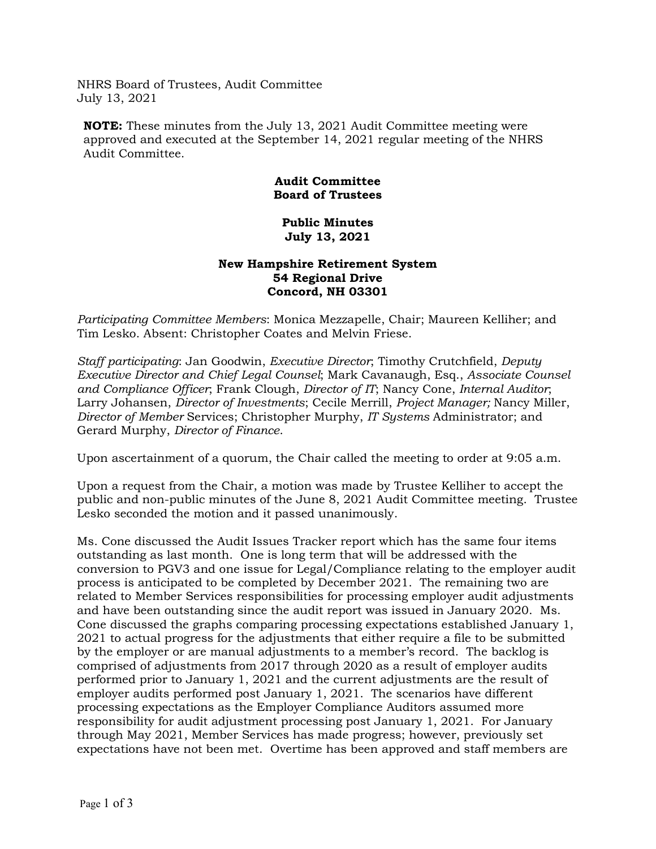NHRS Board of Trustees, Audit Committee July 13, 2021

**NOTE:** These minutes from the July 13, 2021 Audit Committee meeting were approved and executed at the September 14, 2021 regular meeting of the NHRS Audit Committee.

## **Audit Committee Board of Trustees**

## **Public Minutes July 13, 2021**

## **New Hampshire Retirement System 54 Regional Drive Concord, NH 03301**

*Participating Committee Members*: Monica Mezzapelle, Chair; Maureen Kelliher; and Tim Lesko. Absent: Christopher Coates and Melvin Friese.

*Staff participating*: Jan Goodwin, *Executive Director*; Timothy Crutchfield, *Deputy Executive Director and Chief Legal Counsel*; Mark Cavanaugh, Esq., *Associate Counsel and Compliance Officer*; Frank Clough, *Director of IT*; Nancy Cone, *Internal Auditor*; Larry Johansen, *Director of Investments*; Cecile Merrill, *Project Manager;* Nancy Miller, *Director of Member* Services; Christopher Murphy, *IT Systems* Administrator; and Gerard Murphy, *Director of Finance*.

Upon ascertainment of a quorum, the Chair called the meeting to order at 9:05 a.m.

Upon a request from the Chair, a motion was made by Trustee Kelliher to accept the public and non-public minutes of the June 8, 2021 Audit Committee meeting. Trustee Lesko seconded the motion and it passed unanimously.

Ms. Cone discussed the Audit Issues Tracker report which has the same four items outstanding as last month. One is long term that will be addressed with the conversion to PGV3 and one issue for Legal/Compliance relating to the employer audit process is anticipated to be completed by December 2021. The remaining two are related to Member Services responsibilities for processing employer audit adjustments and have been outstanding since the audit report was issued in January 2020. Ms. Cone discussed the graphs comparing processing expectations established January 1, 2021 to actual progress for the adjustments that either require a file to be submitted by the employer or are manual adjustments to a member's record. The backlog is comprised of adjustments from 2017 through 2020 as a result of employer audits performed prior to January 1, 2021 and the current adjustments are the result of employer audits performed post January 1, 2021. The scenarios have different processing expectations as the Employer Compliance Auditors assumed more responsibility for audit adjustment processing post January 1, 2021. For January through May 2021, Member Services has made progress; however, previously set expectations have not been met. Overtime has been approved and staff members are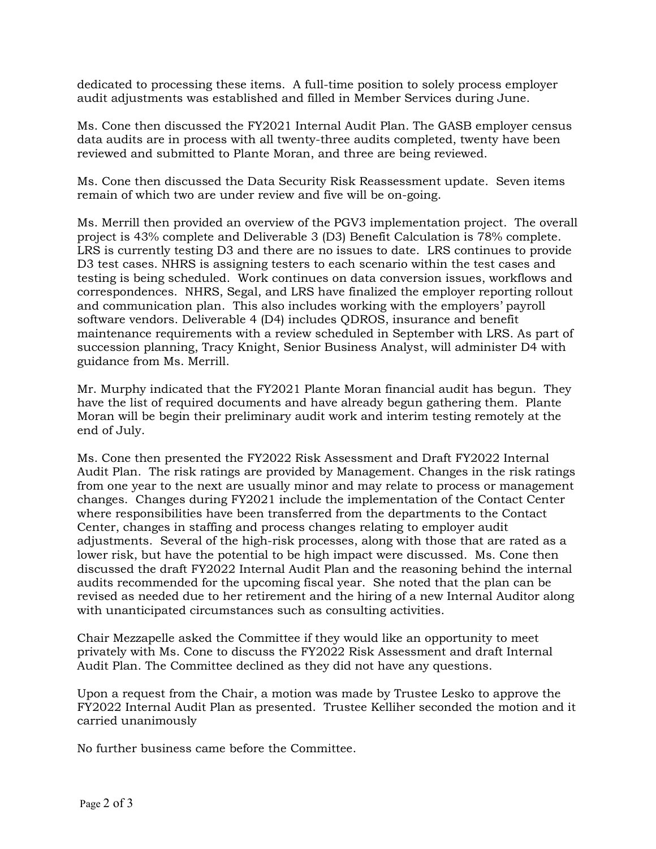dedicated to processing these items. A full-time position to solely process employer audit adjustments was established and filled in Member Services during June.

Ms. Cone then discussed the FY2021 Internal Audit Plan. The GASB employer census data audits are in process with all twenty-three audits completed, twenty have been reviewed and submitted to Plante Moran, and three are being reviewed.

Ms. Cone then discussed the Data Security Risk Reassessment update. Seven items remain of which two are under review and five will be on-going.

Ms. Merrill then provided an overview of the PGV3 implementation project. The overall project is 43% complete and Deliverable 3 (D3) Benefit Calculation is 78% complete. LRS is currently testing D3 and there are no issues to date. LRS continues to provide D3 test cases. NHRS is assigning testers to each scenario within the test cases and testing is being scheduled. Work continues on data conversion issues, workflows and correspondences. NHRS, Segal, and LRS have finalized the employer reporting rollout and communication plan. This also includes working with the employers' payroll software vendors. Deliverable 4 (D4) includes QDROS, insurance and benefit maintenance requirements with a review scheduled in September with LRS. As part of succession planning, Tracy Knight, Senior Business Analyst, will administer D4 with guidance from Ms. Merrill.

Mr. Murphy indicated that the FY2021 Plante Moran financial audit has begun. They have the list of required documents and have already begun gathering them. Plante Moran will be begin their preliminary audit work and interim testing remotely at the end of July.

Ms. Cone then presented the FY2022 Risk Assessment and Draft FY2022 Internal Audit Plan. The risk ratings are provided by Management. Changes in the risk ratings from one year to the next are usually minor and may relate to process or management changes. Changes during FY2021 include the implementation of the Contact Center where responsibilities have been transferred from the departments to the Contact Center, changes in staffing and process changes relating to employer audit adjustments. Several of the high-risk processes, along with those that are rated as a lower risk, but have the potential to be high impact were discussed. Ms. Cone then discussed the draft FY2022 Internal Audit Plan and the reasoning behind the internal audits recommended for the upcoming fiscal year. She noted that the plan can be revised as needed due to her retirement and the hiring of a new Internal Auditor along with unanticipated circumstances such as consulting activities.

Chair Mezzapelle asked the Committee if they would like an opportunity to meet privately with Ms. Cone to discuss the FY2022 Risk Assessment and draft Internal Audit Plan. The Committee declined as they did not have any questions.

Upon a request from the Chair, a motion was made by Trustee Lesko to approve the FY2022 Internal Audit Plan as presented. Trustee Kelliher seconded the motion and it carried unanimously

No further business came before the Committee.